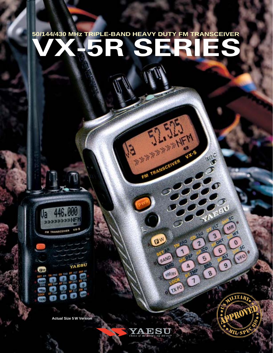# **SO/144/430 MHz TRIPLE-BAND HEAVY DUTY FM TRANSCEIVER**

SIL JEN

FM TRANSCEIVER

EW

**SET AR** 

BAND

**TAG** 

0 17. PO

C HM/RV

VX-5

KENC

YAESU

3

OM

6

9

<sub>41</sub>d

**co** 

Б BRO

8

A

 $\overline{1}$ 

 $5<sup>C</sup>$ 

MR

W.

 $\boldsymbol{\theta}$ 5C

VFO

Ja >>>>>> vx-9 FM TRANSCEIVER

**C**W

set AR

Œ

**Actual Size 5 W Version**

THE FROM COLLEGE OF VALUE AND COLLEGE

AP 100 किया

in ka

п

э

Ø.

ą,

O п.

YAESU

**SOLU** 

O

**DW FC** 

**And** 



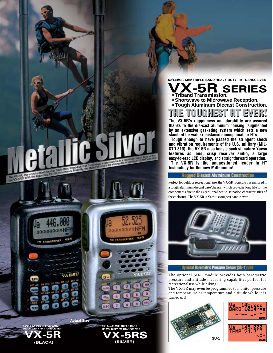**50/144/430 MHz TRIPLE-BAND HEAVY DUTY FM TRANSCEIVER**

**SERIES** 

E)

**Shortwave to Microwave Reception. Tough Aluminum Diecast Construction.**

OUGHEST

**The VX-5R's ruggedness and durability are assured thanks to the die-cast aluminum housing, augmented by an extensive gasketing system which sets a new standard for water resistance among amateur HTs. Tough enough to have passed the stringent shock and vibration requirements of the U.S. military (MIL-STD 810), the VX-5R also boasts such signature Yaesu features as loud, crisp receiver audio, a large easy-to-read LCD display, and straightforward operation. The VX-5R is the unquestioned leader in HT** 

 $\mathbf{F}$ 

**Triband Transmission.**

**technology for the new Millennium!**

**FASTILET** 



**50/144/430 MHz TRIPLE-BAND HEAVY DUTY FM TRANSCEIVER**

**Actual Size**



turned off!





Perfect for outdoor recreational use, the VX-5R's circuitry is enclosed in a tough aluminum diecast case/chassis, which provides long life for the components due to the exceptional heat-dissipation characteristics of

**Rugged Diecast Aluminum Construction** 

Optional Barometric Pressure Sensor (SU-1) Unit

The optional SU-1 module provides both barometric pressure and altitude measuring capability, perfect for recreational use while hiking.

The VX-5R may even be programmed to monitor pressure and temperature or temperature and altitude while it is

**SU-1**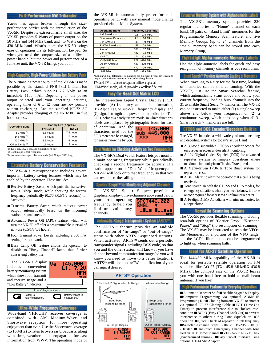## **Full-Performance 5W Tribander**

Yaesu has again broken through the sizeperformance barrier with the introduction of the VX-5R. Despite its extraordinarily small size, the VX-5R provides 5 Watts of power output on the 50 MHz and 144 MHz band, and 4.5 Watts on the 430 MHz band. What's more, the VX-5R brings ease of operation via its full-function keypad. So when you need the compact size of a milliwattpower handie, but the power and performance of a full-size unit, the VX-5R brings you both!

# High-Capacity, High-Power Lithium-Ion Battery Pack

The outstanding power output of the VX-5R is made possible by the standard FNB-58LI Lithium-Ion Battery Pack, which supplies 7.2 Volts at an incredible 1100 mAh. Depending on the power output selected and your operating patterns, operating times of 6 to 12 hours are now possible without re-charging. And the supplied NC-72 AC Adapter provides charging of the FNB-58LI in five hours or less.

| <b>Operating Band</b>      | <b>Battery Life (Approx.)</b> |               |
|----------------------------|-------------------------------|---------------|
|                            | <b>FNB-58LI</b>               | <b>FBA-23</b> |
| 50 MHz (1)                 | 6.5 hours                     | 7.5 hours     |
| 144 MHz (1)                | 6 hours                       | 7 hours       |
| 430 MHz (1)                | 5.5 hours                     | 6 hours       |
| Other Bands <sup>(2)</sup> | 15 hours                      | 9 hours       |

 $(1)$  TX 6 sec., RX 6 sec. and Squelched 48 sec. (2) Continuous signal reception

\*Measurements are per EIA standards. (AF Output 50% duty)

#### **Extensive Battery Conservation Features**

The VX-5R's microprocessor includes several important battery-saving features which may be enabled by the operator. These include:

- Receive Battery Saver, which puts the transceiver into a "sleep" mode, while checking the receive frequency periodically (0.2/0.3/0.5/1/2 seconds) for "activity".
- Transmit Battery Saver, which reduces power output automatically based on the incoming station's signal strength.
- Automatic Power Off (APO) feature, which will turn the VX-5R off after a programmable interval of non-use (0.5/1/3/5/8 hours).
- Four Transmit Power Levels, including a 300 mW setting for local work.
- Busy Lamp Off feature allows the operator to disable to "Busy Channel" lamp, thus further conserving battery life.

The VX-5R's display includes a convenient battery monitoring system which shows both transmit and receive usage and a "Low Battery" indicator.



#### Low Voltage Indicator Battery is nearing depletion. Battery voltage is critically low. Œ

# **Ultra-Wide Frequency Coverage**

Wide-band VHF/UHF receiver coverage is combined with AM Medium-Wave and Shortwave reception, for more operating enjoyment than ever. Use the Shortwave coverage (to 16 MHz) to listen to overseas broadcasts, along with time, weather, and propagation forecast information from WWV. The operating mode of the VX-5R is automatically preset for each operating band, with easy manual mode change provided via the Menu System.

| <b>Operating Band</b>  | <b>Frequency Coverage</b> |
|------------------------|---------------------------|
| <b>AM Broadcast</b>    | $0.5 - 1.8$ MHz           |
| Shortwave Broadcast    | $1.8 - 16$ MHz            |
| 6 m Amateur            | 48 - 59 MHz               |
| <b>FM/TV Broadcast</b> | 59 - 108 MHz              |
| Aircraft               | 108 - 137 MHz             |
| 2 m Amateur            | 137 - 174 MHz             |
| <b>VHF TV</b>          | 174 - 222 MHz             |
| <b>VHF/UHF Misc.</b>   | 222 - 420 MHz             |
| 70 cm Amateur          | 420 - 470 MHz             |
| <b>UHF TV</b>          | 470 - 729 MHz             |
| UHF Misc.*             | 800 - 999 MHz             |

FM and TV broadcast reception utilize a special \*Cellular/digital telephone frequencies areblocked. Frequency coverage may vary indifferent countries, due to local regulations.

"FM-Wide" mode, which provides excellent fidelity!

# **Easy-To-Read Dol Matrix LCD**

The three-section Liquid Crystal Display (LCD) provides (A) frequency and mode information, (B) Alpha Tag or sub-VFO frequency display, and (C) signal strength and power output indication. The LCD includes a handy "Icon" mode, in which functions' labels are replaced by pictographic icons for ease

of operation. And the  $\overline{U}$ characters used for the S/PO meter can be changed, for easiest viewing by you.



# Dual Walch for Checking Activity on Two Frequencies

The VX-5R's Dual Watch feature lets you monitor a main operating frequency while periodically checking a second frequency for activity. If a station appears on the "Dual Watch" frequency, the VX-5R will lock onto that frequency so that you can respond to the calling station.

# Spectra-Scope<sup>tor</sup> for Monitoring Adjacent Channels

The VX-5R's Spectra-Scope™ provides a graphical display of five channels above and below

your current operating frequency, to help you find or avoid busy channels.



#### Automatic Range Transponder System (ARTS<sup>184</sup>)

The ARTSTM feature provides an audible confirmation of "in-range" or "out-of-range" status with other ARTS™-equipped stations. When activated, ARTS™ sends out a periodic transponder signal (including DCS code) so that you and the other station will know if you have slipped beyond communication range (so you will know you need to move to a better location). ARTSTM will also send a CW identification of your callsign, if desired.



#### **Extensive Memory System with Alphanumeric Lab**

The VX-5R's memory system provides 220 regular memories, a "Home" channel on each band, 10 pairs of "Band Limit" memories for the Programmable Memory Scan feature, and five Memory Groups (up to 24 channels from the "main" memory band can be stored into each Memory Group).

#### **Eight-digit Alpha-numeric Memory Labels**

Use the alpha-numeric labels for quick and easy recognition of memory channels as you recall them.

#### Smart Search™ Provides Automatic Leading of Memories :

When traveling to a city for the first time, loading of memories can be time-consuming. With the VX-5R, just use the Smart Search™ feature, which automatically scans above and below your current frequency, loading busy channels into the 31 available Smart SearchTM memories. The VX-5R can be instructed to make either (1) a single sweep above and below your frequency, or (2) a continuous sweep, which ends only when all 31 Smart Search<sup>™</sup> memories are full.

# **CTCSS and DCS Encoder/Decoders Built In**

The VX-5R includes a wide variety of tone encoding and decoding systems for today's active Ham!

- A 39-tone subaudible CTCSS encoder/decoder for easy repeater access and/or silent monitoring.
- A 104 Digital Coded Squelch (DCS) for advanced repeater systems or simplex operations where maximum immunity from "falsing" is required.
- A Menu-driven 1750-Hz Tone Burst system for repeater access.
- A Bell Alarm to alert the operator that a call is being received.
- Tone search, in both the CTCSS and DCS modes, for emergency situations where you need to know the tone or code required for access to an unfamiliar repeater.
- A 16-digit DTMF Autodialer with nine memories, for autopatch use.

#### **Versalile Scanning Options**

The VX-5R provides flexible scanning, including scan-halt options of "Carrier Drop," "5-second Pause," and "Stop" (no resumption of scanning). The VX-5R may be instructed to scan the VFOs, the Memories, or a portion of the VFO range, and the LCD's illumination can be programmed to light up when scanning halts.

#### **Ideal for AO-27 Satellite Operation**

The 144/430 MHz capability of the VX-5R is ideal for portable satellite operation on FM satellites like AO-27 (TX 145.8 MHz/RX 436.8 MHz). The compact size of the VX-5R leaves you with one hand free to hold a small beam antenna, if you like!

## **High-Performance Features for Everyday Operation**

■Automatic Repeater Shift ■Backlit Keypad & Display ■Computer Programming via optional ADMS-1E Programming Kit ■Cloning from one VX-5R to another via optional CT-27 Cloning Cable ■TOT (Time-Out Timer) to prevent interference due to "locked mic" condition ■BCLO (Busy Channel Lock Out) to prevent interference to others during Tone Squelch or DCS operation ■Quick Check of repeater uplink frequency ■Selectable channel steps: 5/10/12.5/15/20/25/50/100 kHz/step ■One-touch Emergency Channel with tone alert on UHF Home Channel ■VFO-A/VFO-B VFO link (synchronized tuning) ■Easy Packet Interface using optional CT-44 Mic Adapter